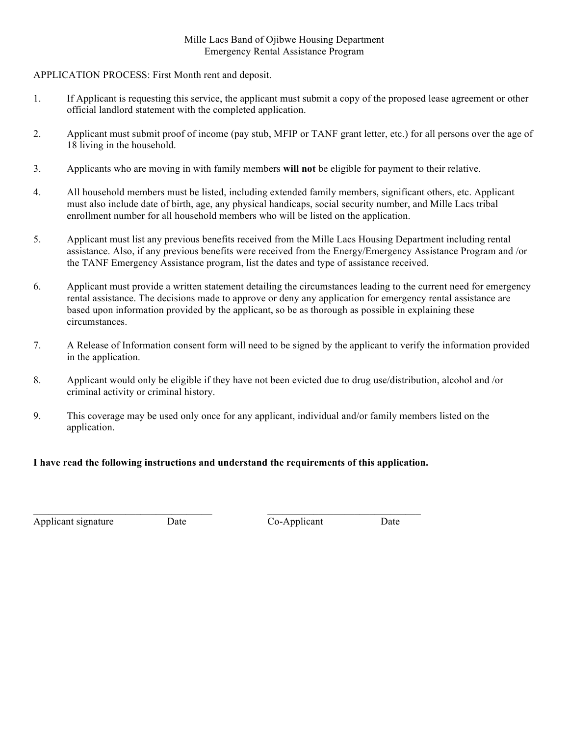### Mille Lacs Band of Ojibwe Housing Department Emergency Rental Assistance Program

## APPLICATION PROCESS: First Month rent and deposit.

- 1. If Applicant is requesting this service, the applicant must submit a copy of the proposed lease agreement or other official landlord statement with the completed application.
- 2. Applicant must submit proof of income (pay stub, MFIP or TANF grant letter, etc.) for all persons over the age of 18 living in the household.
- 3. Applicants who are moving in with family members **will not** be eligible for payment to their relative.
- 4. All household members must be listed, including extended family members, significant others, etc. Applicant must also include date of birth, age, any physical handicaps, social security number, and Mille Lacs tribal enrollment number for all household members who will be listed on the application.
- 5. Applicant must list any previous benefits received from the Mille Lacs Housing Department including rental assistance. Also, if any previous benefits were received from the Energy/Emergency Assistance Program and /or the TANF Emergency Assistance program, list the dates and type of assistance received.
- 6. Applicant must provide a written statement detailing the circumstances leading to the current need for emergency rental assistance. The decisions made to approve or deny any application for emergency rental assistance are based upon information provided by the applicant, so be as thorough as possible in explaining these circumstances.
- 7. A Release of Information consent form will need to be signed by the applicant to verify the information provided in the application.
- 8. Applicant would only be eligible if they have not been evicted due to drug use/distribution, alcohol and /or criminal activity or criminal history.
- 9. This coverage may be used only once for any applicant, individual and/or family members listed on the application.

## **I have read the following instructions and understand the requirements of this application.**

 $\mathcal{L}_\text{max} = \mathcal{L}_\text{max} = \mathcal{L}_\text{max} = \mathcal{L}_\text{max} = \mathcal{L}_\text{max} = \mathcal{L}_\text{max} = \mathcal{L}_\text{max} = \mathcal{L}_\text{max} = \mathcal{L}_\text{max} = \mathcal{L}_\text{max} = \mathcal{L}_\text{max} = \mathcal{L}_\text{max} = \mathcal{L}_\text{max} = \mathcal{L}_\text{max} = \mathcal{L}_\text{max} = \mathcal{L}_\text{max} = \mathcal{L}_\text{max} = \mathcal{L}_\text{max} = \mathcal{$ 

Applicant signature Date Date Co-Applicant Date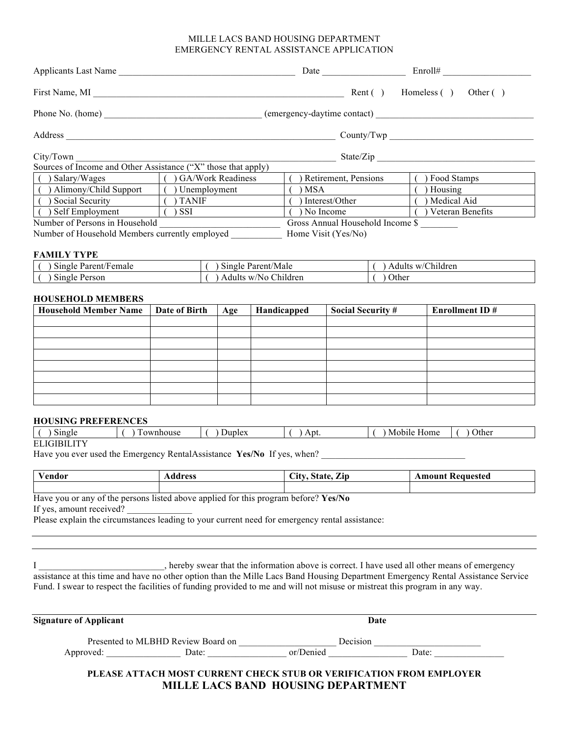#### MILLE LACS BAND HOUSING DEPARTMENT EMERGENCY RENTAL ASSISTANCE APPLICATION

| Applicants Last Name                                          |                       |                                              | Enroll#              |  |
|---------------------------------------------------------------|-----------------------|----------------------------------------------|----------------------|--|
| First Name, MI                                                |                       | Rent $( )$                                   | Homeless () Other () |  |
|                                                               |                       | Phone No. (home) (emergency-daytime contact) |                      |  |
| Address                                                       |                       |                                              | Country/Two          |  |
| City/Town                                                     |                       |                                              | State/Zip            |  |
| Sources of Income and Other Assistance ("X" those that apply) |                       |                                              |                      |  |
| () Salary/Wages $\qquad$ () GA/Work Readiness                 |                       | Retirement, Pensions                         | Food Stamps          |  |
| ( ) Alimony/Child Support                                     | $\int$ ) Unemployment | ) MSA                                        | Housing              |  |
| ( ) Social Security                                           | ) TANIF               | ) Interest/Other                             | ) Medical Aid        |  |
| ) Self Employment                                             | ) SSI                 | ) No Income                                  | ) Veteran Benefits   |  |
| Number of Persons in Household                                |                       | Gross Annual Household Income \$             |                      |  |
| Number of Household Members currently employed                |                       | Home Visit (Yes/No)                          |                      |  |
| <b>FAMILY TYPE</b>                                            |                       |                                              |                      |  |

| $\sim$ $\cdot$<br>$\sqrt{1}$<br>Single<br>Parent/Female | $\sim$<br>Parent/Male<br>Single | $\cdot$ $\cdot$<br>$\sim$<br>w/Children<br>Adults |
|---------------------------------------------------------|---------------------------------|---------------------------------------------------|
| $\sim$<br>Single<br>Person                              | w/No Children<br>Adults         | Other                                             |

#### **HOUSEHOLD MEMBERS**

| <b>Household Member Name</b> | Date of Birth | Age | Handicapped | <b>Social Security #</b> | <b>Enrollment ID#</b> |
|------------------------------|---------------|-----|-------------|--------------------------|-----------------------|
|                              |               |     |             |                          |                       |
|                              |               |     |             |                          |                       |
|                              |               |     |             |                          |                       |
|                              |               |     |             |                          |                       |
|                              |               |     |             |                          |                       |
|                              |               |     |             |                          |                       |
|                              |               |     |             |                          |                       |
|                              |               |     |             |                          |                       |

#### **HOUSING PREFERENCES**

| $\sim$<br>single      | nhouse | Juplex | Api. | Home<br>Mobile | Other |
|-----------------------|--------|--------|------|----------------|-------|
| <b>DI IQIDII IMIZ</b> |        |        |      |                |       |

**ELIGIBILITY** 

Have you ever used the Emergency RentalAssistance **Yes/No** If yes, when? \_\_\_\_\_\_\_\_\_\_\_\_\_\_\_\_\_\_\_\_\_\_\_\_\_\_\_\_\_\_\_

| $\mathbf{v}$<br>′endor | ldress | $\sim$<br>r.<br>$\sim$<br>'ata<br>$\mathbf{C}$<br>$\mathbf{\mathcal{L}}$ ip<br>$\eta$ ial $\eta$ | Amour<br>Keauested |
|------------------------|--------|--------------------------------------------------------------------------------------------------|--------------------|
|                        |        |                                                                                                  |                    |

Have you or any of the persons listed above applied for this program before? **Yes/No** If yes, amount received?

Please explain the circumstances leading to your current need for emergency rental assistance:

I \_\_\_\_\_\_\_\_\_\_\_\_\_\_\_\_, hereby swear that the information above is correct. I have used all other means of emergency assistance at this time and have no other option than the Mille Lacs Band Housing Department Emergency Rental Assistance Service Fund. I swear to respect the facilities of funding provided to me and will not misuse or mistreat this program in any way.

| <b>Signature of Applicant</b> |                                    | Date      |       |
|-------------------------------|------------------------------------|-----------|-------|
|                               | Presented to MLBHD Review Board on | Decision  |       |
| Approved:                     | Date:                              | or/Denied | Date: |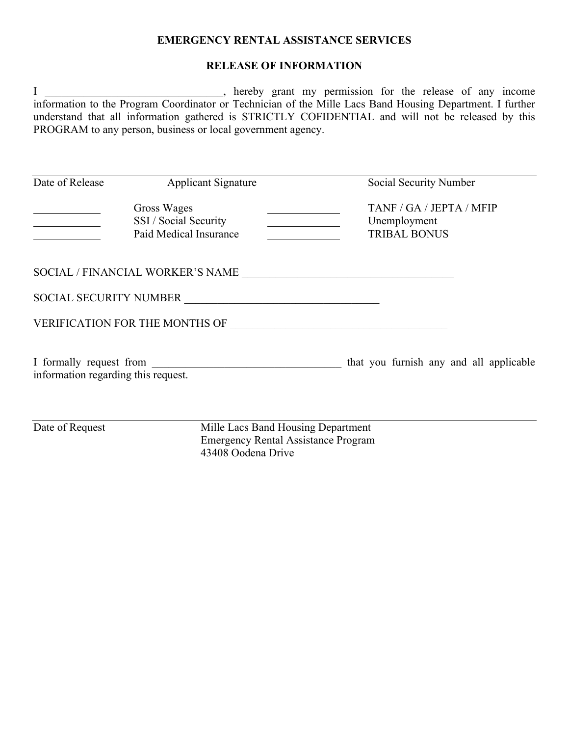## **EMERGENCY RENTAL ASSISTANCE SERVICES**

## **RELEASE OF INFORMATION**

I \_\_\_\_\_\_\_\_\_\_\_\_\_\_\_\_\_\_\_\_, hereby grant my permission for the release of any income information to the Program Coordinator or Technician of the Mille Lacs Band Housing Department. I further understand that all information gathered is STRICTLY COFIDENTIAL and will not be released by this PROGRAM to any person, business or local government agency.

| Date of Release                                                | <b>Applicant Signature</b>            | Social Security Number                                          |  |
|----------------------------------------------------------------|---------------------------------------|-----------------------------------------------------------------|--|
| Gross Wages<br>SSI / Social Security<br>Paid Medical Insurance |                                       | TANF / GA / JEPTA / MFIP<br>Unemployment<br><b>TRIBAL BONUS</b> |  |
|                                                                | SOCIAL / FINANCIAL WORKER'S NAME      |                                                                 |  |
| <b>SOCIAL SECURITY NUMBER</b>                                  |                                       |                                                                 |  |
|                                                                | <b>VERIFICATION FOR THE MONTHS OF</b> |                                                                 |  |
| information regarding this request.                            | I formally request from               | that you furnish any and all applicable                         |  |

Date of Request Mille Lacs Band Housing Department Emergency Rental Assistance Program 43408 Oodena Drive